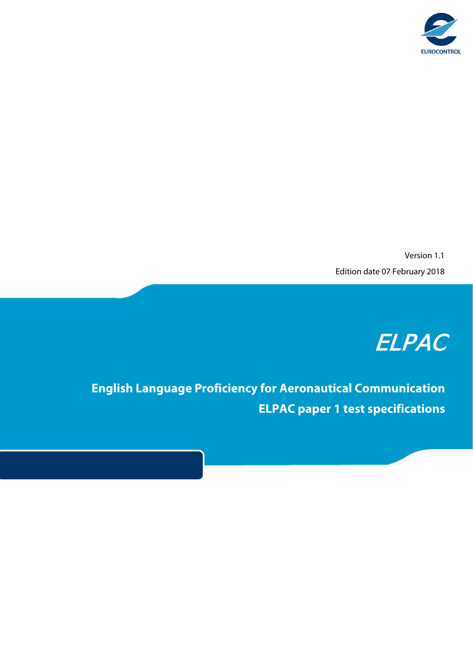

Version 1.1 Edition date 07 February 2018

## ELPAC

**English Language Proficiency for Aeronautical Communication ELPAC paper 1 test specifications**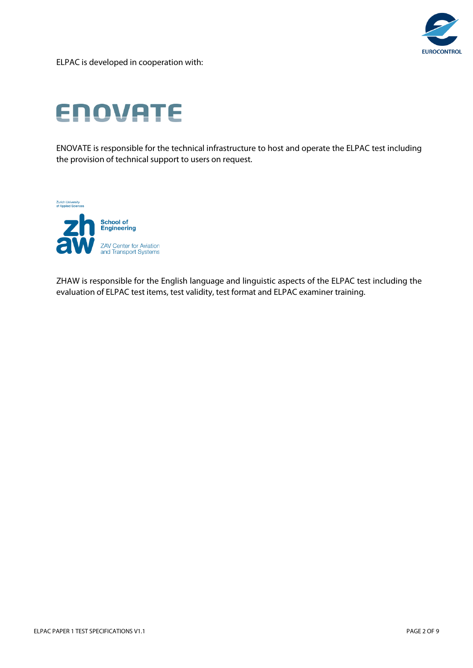

ELPAC is developed in cooperation with:

# **ENOVATE**

ENOVATE is responsible for the technical infrastructure to host and operate the ELPAC test including the provision of technical support to users on request.

**Zurich University<br>of Applied Sciences** 



ZHAW is responsible for the English language and linguistic aspects of the ELPAC test including the evaluation of ELPAC test items, test validity, test format and ELPAC examiner training.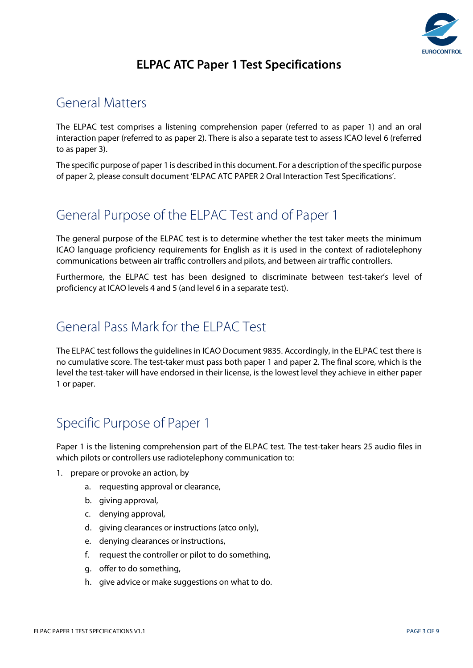

#### **ELPAC ATC Paper 1 Test Specifications**

#### General Matters

The ELPAC test comprises a listening comprehension paper (referred to as paper 1) and an oral interaction paper (referred to as paper 2). There is also a separate test to assess ICAO level 6 (referred to as paper 3).

The specific purpose of paper 1 is described in this document. For a description of the specific purpose of paper 2, please consult document 'ELPAC ATC PAPER 2 Oral Interaction Test Specifications'.

#### General Purpose of the ELPAC Test and of Paper 1

The general purpose of the ELPAC test is to determine whether the test taker meets the minimum ICAO language proficiency requirements for English as it is used in the context of radiotelephony communications between air traffic controllers and pilots, and between air traffic controllers.

Furthermore, the ELPAC test has been designed to discriminate between test-taker's level of proficiency at ICAO levels 4 and 5 (and level 6 in a separate test).

#### General Pass Mark for the ELPAC Test

The ELPAC test follows the guidelines in ICAO Document 9835. Accordingly, in the ELPAC test there is no cumulative score. The test-taker must pass both paper 1 and paper 2. The final score, which is the level the test-taker will have endorsed in their license, is the lowest level they achieve in either paper 1 or paper.

### Specific Purpose of Paper 1

Paper 1 is the listening comprehension part of the ELPAC test. The test-taker hears 25 audio files in which pilots or controllers use radiotelephony communication to:

- 1. prepare or provoke an action, by
	- a. requesting approval or clearance,
	- b. giving approval,
	- c. denying approval,
	- d. giving clearances or instructions (atco only),
	- e. denying clearances or instructions,
	- f. request the controller or pilot to do something,
	- g. offer to do something,
	- h. give advice or make suggestions on what to do.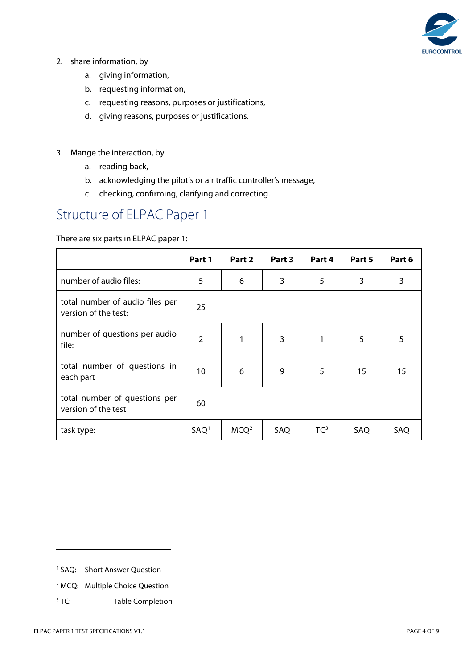

- 2. share information, by
	- a. giving information,
	- b. requesting information,
	- c. requesting reasons, purposes or justifications,
	- d. giving reasons, purposes or justifications.
- 3. Mange the interaction, by
	- a. reading back,
	- b. acknowledging the pilot's or air traffic controller's message,
	- c. checking, confirming, clarifying and correcting.

#### Structure of ELPAC Paper 1

#### There are six parts in ELPAC paper 1:

|                                                         | Part 1           | Part 2           | Part 3 | Part 4          | Part 5 | Part 6 |
|---------------------------------------------------------|------------------|------------------|--------|-----------------|--------|--------|
| number of audio files:                                  | 5                | 6                | 3      | 5               | 3      | 3      |
| total number of audio files per<br>version of the test: | 25               |                  |        |                 |        |        |
| number of questions per audio<br>file:                  | $\overline{2}$   |                  | 3      | 1               | 5      | 5      |
| total number of questions in<br>each part               | 10               | 6                | 9      | 5               | 15     | 15     |
| total number of questions per<br>version of the test    | 60               |                  |        |                 |        |        |
| task type:                                              | SAO <sup>1</sup> | MCQ <sup>2</sup> | SAQ    | TC <sup>3</sup> | SAQ    | SAQ    |

- <span id="page-3-1"></span><sup>2</sup> MCQ: Multiple Choice Question
- <span id="page-3-2"></span><sup>3</sup> TC: Table Completion

-

<span id="page-3-0"></span><sup>1</sup> SAQ: Short Answer Question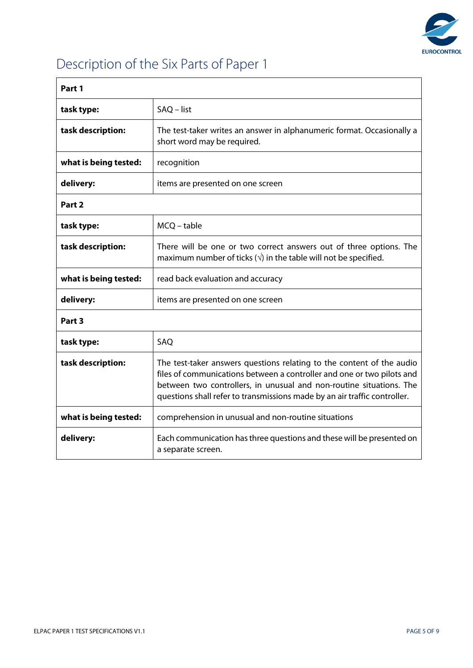

## Description of the Six Parts of Paper 1

| Part 1                |                                                                                                                                                                                                                                                                                                     |  |
|-----------------------|-----------------------------------------------------------------------------------------------------------------------------------------------------------------------------------------------------------------------------------------------------------------------------------------------------|--|
| task type:            | SAQ - list                                                                                                                                                                                                                                                                                          |  |
| task description:     | The test-taker writes an answer in alphanumeric format. Occasionally a<br>short word may be required.                                                                                                                                                                                               |  |
| what is being tested: | recognition                                                                                                                                                                                                                                                                                         |  |
| delivery:             | items are presented on one screen                                                                                                                                                                                                                                                                   |  |
| Part 2                |                                                                                                                                                                                                                                                                                                     |  |
| task type:            | MCQ - table                                                                                                                                                                                                                                                                                         |  |
| task description:     | There will be one or two correct answers out of three options. The<br>maximum number of ticks $(v)$ in the table will not be specified.                                                                                                                                                             |  |
| what is being tested: | read back evaluation and accuracy                                                                                                                                                                                                                                                                   |  |
| delivery:             | items are presented on one screen                                                                                                                                                                                                                                                                   |  |
| Part 3                |                                                                                                                                                                                                                                                                                                     |  |
| task type:            | SAQ                                                                                                                                                                                                                                                                                                 |  |
| task description:     | The test-taker answers questions relating to the content of the audio<br>files of communications between a controller and one or two pilots and<br>between two controllers, in unusual and non-routine situations. The<br>questions shall refer to transmissions made by an air traffic controller. |  |
| what is being tested: | comprehension in unusual and non-routine situations                                                                                                                                                                                                                                                 |  |
| delivery:             | Each communication has three questions and these will be presented on<br>a separate screen.                                                                                                                                                                                                         |  |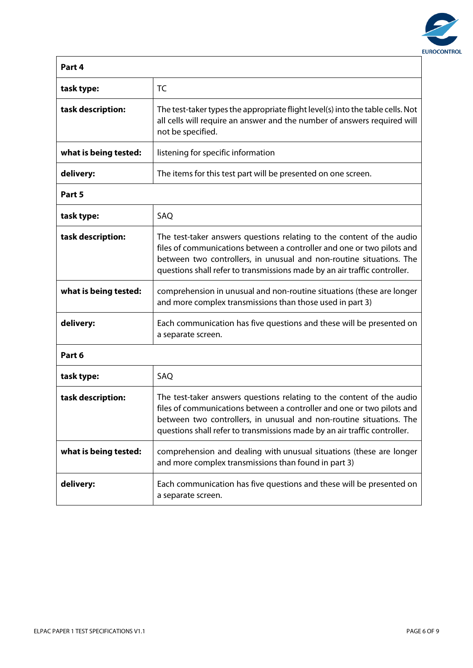

| Part 4                |                                                                                                                                                                                                                                                                                                     |
|-----------------------|-----------------------------------------------------------------------------------------------------------------------------------------------------------------------------------------------------------------------------------------------------------------------------------------------------|
| task type:            | <b>TC</b>                                                                                                                                                                                                                                                                                           |
| task description:     | The test-taker types the appropriate flight level(s) into the table cells. Not<br>all cells will require an answer and the number of answers required will<br>not be specified.                                                                                                                     |
| what is being tested: | listening for specific information                                                                                                                                                                                                                                                                  |
| delivery:             | The items for this test part will be presented on one screen.                                                                                                                                                                                                                                       |
| Part 5                |                                                                                                                                                                                                                                                                                                     |
| task type:            | SAQ                                                                                                                                                                                                                                                                                                 |
| task description:     | The test-taker answers questions relating to the content of the audio<br>files of communications between a controller and one or two pilots and<br>between two controllers, in unusual and non-routine situations. The<br>questions shall refer to transmissions made by an air traffic controller. |
| what is being tested: | comprehension in unusual and non-routine situations (these are longer<br>and more complex transmissions than those used in part 3)                                                                                                                                                                  |
| delivery:             | Each communication has five questions and these will be presented on<br>a separate screen.                                                                                                                                                                                                          |
| Part 6                |                                                                                                                                                                                                                                                                                                     |
| task type:            | SAQ                                                                                                                                                                                                                                                                                                 |
| task description:     | The test-taker answers questions relating to the content of the audio<br>files of communications between a controller and one or two pilots and<br>between two controllers, in unusual and non-routine situations. The<br>questions shall refer to transmissions made by an air traffic controller. |
| what is being tested: | comprehension and dealing with unusual situations (these are longer<br>and more complex transmissions than found in part 3)                                                                                                                                                                         |
| delivery:             | Each communication has five questions and these will be presented on<br>a separate screen.                                                                                                                                                                                                          |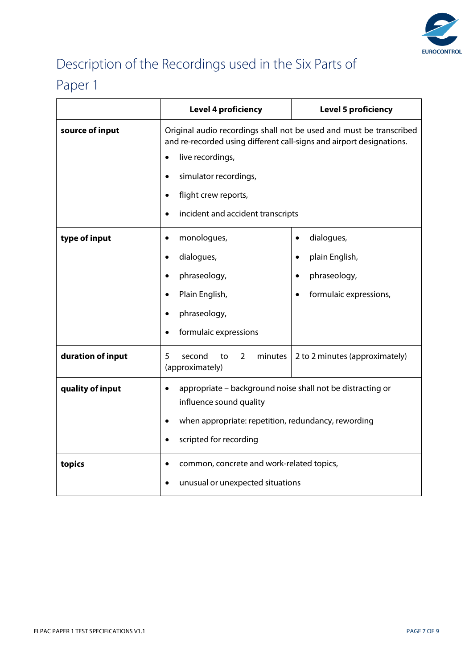

۳

## Description of the Recordings used in the Six Parts of

### Paper 1

|                   | <b>Level 4 proficiency</b>                                                                                                                  | <b>Level 5 proficiency</b>     |  |  |  |
|-------------------|---------------------------------------------------------------------------------------------------------------------------------------------|--------------------------------|--|--|--|
| source of input   | Original audio recordings shall not be used and must be transcribed<br>and re-recorded using different call-signs and airport designations. |                                |  |  |  |
|                   | live recordings,<br>$\bullet$                                                                                                               |                                |  |  |  |
|                   | simulator recordings,<br>$\bullet$                                                                                                          |                                |  |  |  |
|                   | flight crew reports,<br>$\bullet$                                                                                                           |                                |  |  |  |
|                   | incident and accident transcripts<br>$\bullet$                                                                                              |                                |  |  |  |
| type of input     | monologues,<br>$\bullet$                                                                                                                    | dialogues,<br>$\bullet$        |  |  |  |
|                   | dialogues,<br>$\bullet$                                                                                                                     | plain English,                 |  |  |  |
|                   | phraseology,<br>$\bullet$                                                                                                                   | phraseology,                   |  |  |  |
|                   | Plain English,<br>$\bullet$                                                                                                                 | formulaic expressions,         |  |  |  |
|                   | phraseology,                                                                                                                                |                                |  |  |  |
|                   | formulaic expressions                                                                                                                       |                                |  |  |  |
| duration of input | 5.<br>second<br>$\overline{2}$<br>minutes<br>to<br>(approximately)                                                                          | 2 to 2 minutes (approximately) |  |  |  |
| quality of input  | appropriate - background noise shall not be distracting or<br>$\bullet$<br>influence sound quality                                          |                                |  |  |  |
|                   | when appropriate: repetition, redundancy, rewording                                                                                         |                                |  |  |  |
|                   | scripted for recording<br>$\bullet$                                                                                                         |                                |  |  |  |
| topics            | common, concrete and work-related topics,<br>$\bullet$                                                                                      |                                |  |  |  |
|                   | unusual or unexpected situations<br>$\bullet$                                                                                               |                                |  |  |  |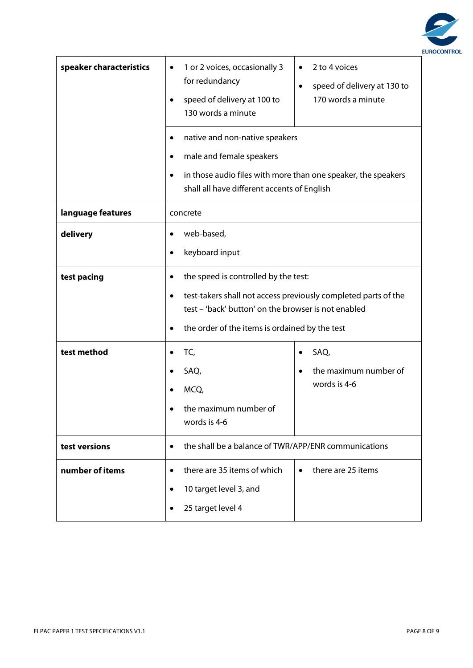

| speaker characteristics | 1 or 2 voices, occasionally 3<br>٠<br>for redundancy<br>speed of delivery at 100 to<br>130 words a minute                                                                                                                                 | 2 to 4 voices<br>speed of delivery at 130 to<br>$\bullet$<br>170 words a minute                                                                |  |  |
|-------------------------|-------------------------------------------------------------------------------------------------------------------------------------------------------------------------------------------------------------------------------------------|------------------------------------------------------------------------------------------------------------------------------------------------|--|--|
|                         | $\bullet$<br>male and female speakers<br>$\bullet$<br>$\bullet$                                                                                                                                                                           | native and non-native speakers<br>in those audio files with more than one speaker, the speakers<br>shall all have different accents of English |  |  |
| language features       | concrete                                                                                                                                                                                                                                  |                                                                                                                                                |  |  |
| delivery                | web-based,<br>keyboard input<br>$\bullet$                                                                                                                                                                                                 |                                                                                                                                                |  |  |
| test pacing             | the speed is controlled by the test:<br>$\bullet$<br>test-takers shall not access previously completed parts of the<br>$\bullet$<br>test - 'back' button' on the browser is not enabled<br>the order of the items is ordained by the test |                                                                                                                                                |  |  |
| test method             | TC,<br>SAQ,<br>MCQ,<br>the maximum number of<br>words is 4-6                                                                                                                                                                              | SAQ,<br>the maximum number of<br>words is 4-6                                                                                                  |  |  |
| test versions           | $\bullet$                                                                                                                                                                                                                                 | the shall be a balance of TWR/APP/ENR communications                                                                                           |  |  |
| number of items         | there are 35 items of which<br>$\bullet$<br>10 target level 3, and<br>$\bullet$<br>25 target level 4                                                                                                                                      | there are 25 items                                                                                                                             |  |  |